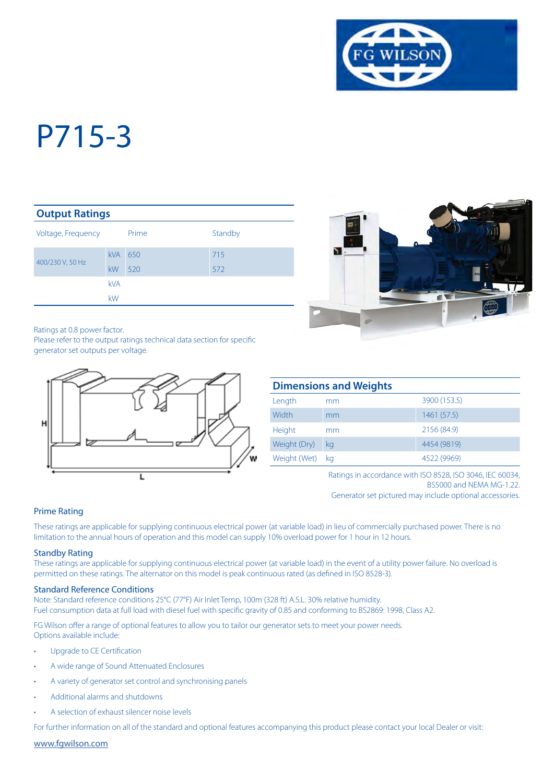

#### **Output Ratings**

| Voltage, Frequency |                  | Prime      | Standby    |
|--------------------|------------------|------------|------------|
| 400/230 V, 50 Hz   | <b>kVA</b><br>kW | 650<br>520 | 715<br>572 |
|                    | <b>kVA</b><br>kW |            |            |

Ratings at 0.8 power factor.

Please refer to the output ratings technical data section for specific generator set outputs per voltage.





| <b>Dimensions and Weights</b> |    |              |  |  |
|-------------------------------|----|--------------|--|--|
| Length                        | mm | 3900 (153.5) |  |  |
| Width                         | mm | 1461 (57.5)  |  |  |
| Height                        | mm | 2156 (84.9)  |  |  |
| Weight (Dry)                  | kg | 4454 (9819)  |  |  |
| Weight (Wet)                  | ka | 4522 (9969)  |  |  |

Ratings in accordance with ISO 8528, ISO 3046, IEC 60034, BS5000 and NEMA MG-1.22.

Generator set pictured may include optional accessories.

#### Prime Rating

These ratings are applicable for supplying continuous electrical power (at variable load) in lieu of commercially purchased power. There is no limitation to the annual hours of operation and this model can supply 10% overload power for 1 hour in 12 hours.

#### Standby Rating

These ratings are applicable for supplying continuous electrical power (at variable load) in the event of a utility power failure. No overload is permitted on these ratings. The alternator on this model is peak continuous rated (as defined in ISO 8528-3).

#### Standard Reference Conditions

Note: Standard reference conditions 25°C (77°F) Air Inlet Temp, 100m (328 ft) A.S.L. 30% relative humidity. Fuel consumption data at full load with diesel fuel with specific gravity of 0.85 and conforming to BS2869: 1998, Class A2.

FG Wilson offer a range of optional features to allow you to tailor our generator sets to meet your power needs. Options available include:

- Upgrade to CE Certification
- A wide range of Sound Attenuated Enclosures
- A variety of generator set control and synchronising panels
- Additional alarms and shutdowns
- A selection of exhaust silencer noise levels

For further information on all of the standard and optional features accompanying this product please contact your local Dealer or visit:

www.fgwilson.com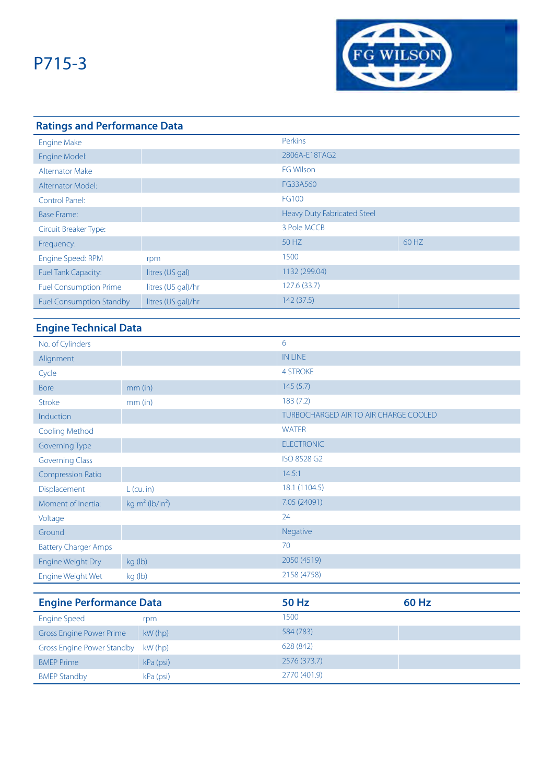

# **Ratings and Performance Data**

| <b>Engine Make</b>              |                    | Perkins                     |       |
|---------------------------------|--------------------|-----------------------------|-------|
| Engine Model:                   |                    | 2806A-E18TAG2               |       |
| <b>Alternator Make</b>          |                    | <b>FG Wilson</b>            |       |
| Alternator Model:               |                    | FG33A560                    |       |
| Control Panel:                  |                    | FG100                       |       |
| Base Frame:                     |                    | Heavy Duty Fabricated Steel |       |
| Circuit Breaker Type:           |                    | 3 Pole MCCB                 |       |
| Frequency:                      |                    | 50 HZ                       | 60 HZ |
| Engine Speed: RPM               | rpm                | 1500                        |       |
| <b>Fuel Tank Capacity:</b>      | litres (US gal)    | 1132 (299.04)               |       |
| <b>Fuel Consumption Prime</b>   | litres (US gal)/hr | 127.6 (33.7)                |       |
| <b>Fuel Consumption Standby</b> | litres (US gal)/hr | 142(37.5)                   |       |

## **Engine Technical Data**

| No. of Cylinders                  |                                | 6                                            |              |
|-----------------------------------|--------------------------------|----------------------------------------------|--------------|
| Alignment                         |                                | <b>IN LINE</b>                               |              |
| Cycle                             |                                | <b>4 STROKE</b>                              |              |
| <b>Bore</b>                       | mm (in)                        | 145(5.7)                                     |              |
| Stroke                            | $mm$ (in)                      | 183(7.2)                                     |              |
| Induction                         |                                | <b>TURBOCHARGED AIR TO AIR CHARGE COOLED</b> |              |
| <b>Cooling Method</b>             |                                | <b>WATER</b>                                 |              |
| Governing Type                    |                                | <b>ELECTRONIC</b>                            |              |
| <b>Governing Class</b>            |                                | ISO 8528 G2                                  |              |
| <b>Compression Ratio</b>          |                                | 14.5:1                                       |              |
| Displacement                      | $L$ (cu. in)                   | 18.1 (1104.5)                                |              |
| Moment of Inertia:                | kg $m^2$ (lb/in <sup>2</sup> ) | 7.05 (24091)                                 |              |
| Voltage                           |                                | 24                                           |              |
| Ground                            |                                | Negative                                     |              |
| <b>Battery Charger Amps</b>       |                                | 70                                           |              |
| Engine Weight Dry                 | kg (lb)                        | 2050 (4519)                                  |              |
| Engine Weight Wet                 | kg (lb)                        | 2158 (4758)                                  |              |
|                                   |                                |                                              |              |
| <b>Engine Performance Data</b>    |                                | <b>50 Hz</b>                                 | <b>60 Hz</b> |
| <b>Engine Speed</b>               | rpm                            | 1500                                         |              |
| <b>Gross Engine Power Prime</b>   | kW (hp)                        | 584 (783)                                    |              |
| <b>Gross Engine Power Standby</b> | kW (hp)                        | 628 (842)                                    |              |
| <b>BMEP Prime</b>                 | kPa (psi)                      | 2576 (373.7)                                 |              |

BMEP Standby **kPa** (psi) **2770 (401.9)**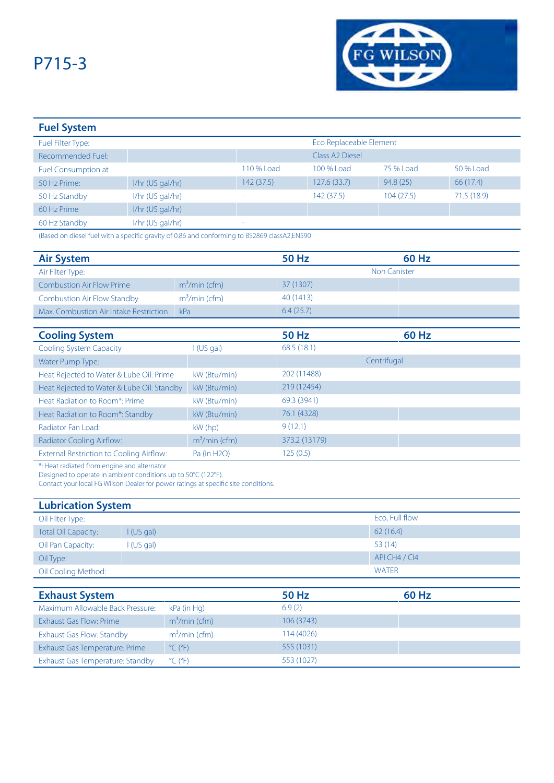

| <b>Fuel System</b>         |                    |            |                             |           |            |
|----------------------------|--------------------|------------|-----------------------------|-----------|------------|
| Fuel Filter Type:          |                    |            | Eco Replaceable Element     |           |            |
| Recommended Fuel:          |                    |            | Class A <sub>2</sub> Diesel |           |            |
| <b>Fuel Consumption at</b> |                    | 110 % Load | 100 % Load                  | 75 % Load | 50 % Load  |
| 50 Hz Prime:               | $1/hr$ (US gal/hr) | 142(37.5)  | 127.6(33.7)                 | 94.8(25)  | 66 (17.4)  |
| 50 Hz Standby              | $1/hr$ (US gal/hr) | ۰          | 142 (37.5)                  | 104(27.5) | 71.5(18.9) |
| 60 Hz Prime                | $I/hr$ (US gal/hr) |            |                             |           |            |
| 60 Hz Standby              | I/hr (US gal/hr)   |            |                             |           |            |

(Based on diesel fuel with a specific gravity of 0.86 and conforming to BS2869 classA2,EN590

| <b>Air System</b>                               |                | <b>50 Hz</b>  | <b>60 Hz</b>        |  |
|-------------------------------------------------|----------------|---------------|---------------------|--|
| Air Filter Type:                                |                |               | <b>Non Canister</b> |  |
| <b>Combustion Air Flow Prime</b>                | $m3/min$ (cfm) | 37 (1307)     |                     |  |
| <b>Combustion Air Flow Standby</b>              | $m3/min$ (cfm) | 40 (1413)     |                     |  |
| Max. Combustion Air Intake Restriction          | kPa            | 6.4(25.7)     |                     |  |
|                                                 |                |               |                     |  |
| <b>Cooling System</b>                           |                | <b>50 Hz</b>  | <b>60 Hz</b>        |  |
| <b>Cooling System Capacity</b>                  | I (US gal)     | 68.5(18.1)    |                     |  |
| Water Pump Type:                                |                |               | Centrifugal         |  |
| Heat Rejected to Water & Lube Oil: Prime        | kW (Btu/min)   | 202 (11488)   |                     |  |
| Heat Rejected to Water & Lube Oil: Standby      | kW (Btu/min)   | 219 (12454)   |                     |  |
| Heat Radiation to Room*: Prime                  | kW (Btu/min)   | 69.3 (3941)   |                     |  |
| Heat Radiation to Room*: Standby                | kW (Btu/min)   | 76.1 (4328)   |                     |  |
| Radiator Fan Load:                              | $kW$ (hp)      | 9(12.1)       |                     |  |
| Radiator Cooling Airflow:                       | $m3/min$ (cfm) | 373.2 (13179) |                     |  |
| <b>External Restriction to Cooling Airflow:</b> | Pa (in H2O)    | 125(0.5)      |                     |  |

\*: Heat radiated from engine and alternator

Designed to operate in ambient conditions up to 50°C (122°F).

Contact your local FG Wilson Dealer for power ratings at specific site conditions.

| <b>Lubrication System</b>  |            |                |  |  |
|----------------------------|------------|----------------|--|--|
| Oil Filter Type:           |            | Eco, Full flow |  |  |
| <b>Total Oil Capacity:</b> | I(US gal)  | 62(16.4)       |  |  |
| Oil Pan Capacity:          | l (US gal) | 53(14)         |  |  |
| Oil Type:                  |            | API CH4 / CI4  |  |  |
| Oil Cooling Method:        |            | <b>WATER</b>   |  |  |

| <b>Exhaust System</b>            |                              | 50 Hz      | 60 Hz |
|----------------------------------|------------------------------|------------|-------|
| Maximum Allowable Back Pressure: | kPa (in Hg)                  | 6.9(2)     |       |
| Exhaust Gas Flow: Prime          | $m3/min$ (cfm)               | 106 (3743) |       |
| Exhaust Gas Flow: Standby        | $m3/min$ (cfm)               | 114 (4026) |       |
| Exhaust Gas Temperature: Prime   | $^{\circ}$ C ( $^{\circ}$ F) | 555 (1031) |       |
| Exhaust Gas Temperature: Standby | $^{\circ}$ C ( $^{\circ}$ F) | 553 (1027) |       |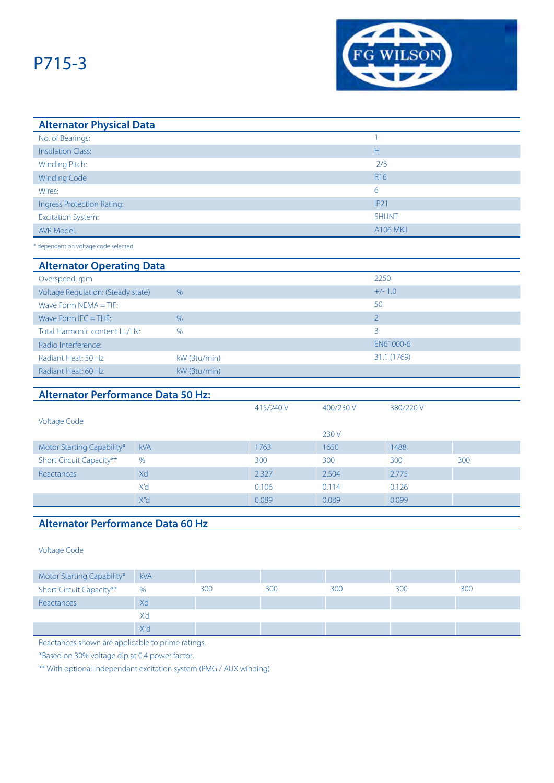

| <b>Alternator Physical Data</b> |                  |
|---------------------------------|------------------|
| No. of Bearings:                |                  |
| <b>Insulation Class:</b>        | Н                |
| Winding Pitch:                  | 2/3              |
| <b>Winding Code</b>             | R <sub>16</sub>  |
| Wires:                          | 6                |
| Ingress Protection Rating:      | IP21             |
| <b>Excitation System:</b>       | <b>SHUNT</b>     |
| AVR Model:                      | <b>A106 MKII</b> |
|                                 |                  |

\* dependant on voltage code selected

#### **Alternator Operating Data**

| Overspeed: rpm                     |               | 2250        |
|------------------------------------|---------------|-------------|
| Voltage Regulation: (Steady state) | $\frac{0}{6}$ | $+/- 1.0$   |
| Wave Form NEMA $=$ TIF:            |               | 50          |
| Wave Form $IEC = THE$ :            | $\frac{0}{6}$ |             |
| Total Harmonic content LL/LN:      | $\frac{0}{0}$ | 3           |
| Radio Interference:                |               | EN61000-6   |
| Radiant Heat: 50 Hz                | kW (Btu/min)  | 31.1 (1769) |
| Radiant Heat: 60 Hz                | kW (Btu/min)  |             |

### **Alternator Performance Data 50 Hz:**

|                            |            | 415/240 V | 400/230 V | 380/220 V |     |
|----------------------------|------------|-----------|-----------|-----------|-----|
| <b>Voltage Code</b>        |            |           |           |           |     |
|                            |            |           | 230 V     |           |     |
| Motor Starting Capability* | <b>kVA</b> | 1763      | 1650      | 1488      |     |
| Short Circuit Capacity**   | $\%$       | 300       | 300       | 300       | 300 |
| Reactances                 | Xd         | 2.327     | 2.504     | 2.775     |     |
|                            | X'd        | 0.106     | 0.114     | 0.126     |     |
|                            | X"d        | 0.089     | 0.089     | 0.099     |     |

### **Alternator Performance Data 60 Hz**

Voltage Code

| Motor Starting Capability*      | <b>kVA</b>       |     |     |     |     |     |
|---------------------------------|------------------|-----|-----|-----|-----|-----|
| <b>Short Circuit Capacity**</b> | %                | 300 | 300 | 300 | 300 | 300 |
| Reactances                      | Xd               |     |     |     |     |     |
|                                 | X'd              |     |     |     |     |     |
|                                 | X'' <sub>d</sub> |     |     |     |     |     |

Reactances shown are applicable to prime ratings.

\*Based on 30% voltage dip at 0.4 power factor.

\*\* With optional independant excitation system (PMG / AUX winding)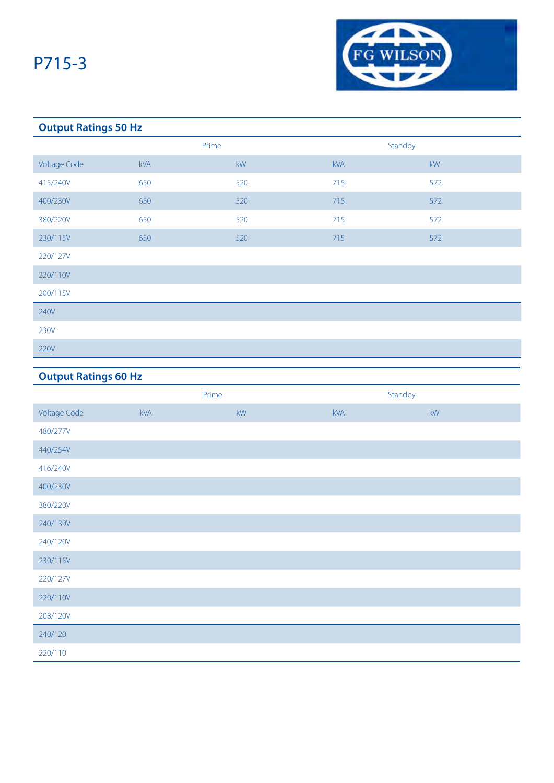

### **Output Ratings 50 Hz**

|                     | Prime |     | Standby    |                        |
|---------------------|-------|-----|------------|------------------------|
| <b>Voltage Code</b> | kVA   | kW  | <b>kVA</b> | $\mathsf{k}\mathsf{W}$ |
| 415/240V            | 650   | 520 | 715        | 572                    |
| 400/230V            | 650   | 520 | 715        | 572                    |
| 380/220V            | 650   | 520 | 715        | 572                    |
| 230/115V            | 650   | 520 | 715        | 572                    |
| 220/127V            |       |     |            |                        |
| 220/110V            |       |     |            |                        |
| 200/115V            |       |     |            |                        |
| 240V                |       |     |            |                        |
| 230V                |       |     |            |                        |
| 220V                |       |     |            |                        |

## **Output Ratings 60 Hz**

|                     | Prime      |    | Standby |                        |
|---------------------|------------|----|---------|------------------------|
| <b>Voltage Code</b> | <b>kVA</b> | kW | kVA     | $\mathsf{k}\mathsf{W}$ |
| 480/277V            |            |    |         |                        |
| 440/254V            |            |    |         |                        |
| 416/240V            |            |    |         |                        |
| 400/230V            |            |    |         |                        |
| 380/220V            |            |    |         |                        |
| 240/139V            |            |    |         |                        |
| 240/120V            |            |    |         |                        |
| 230/115V            |            |    |         |                        |
| 220/127V            |            |    |         |                        |
| 220/110V            |            |    |         |                        |
| 208/120V            |            |    |         |                        |
| 240/120             |            |    |         |                        |
| 220/110             |            |    |         |                        |